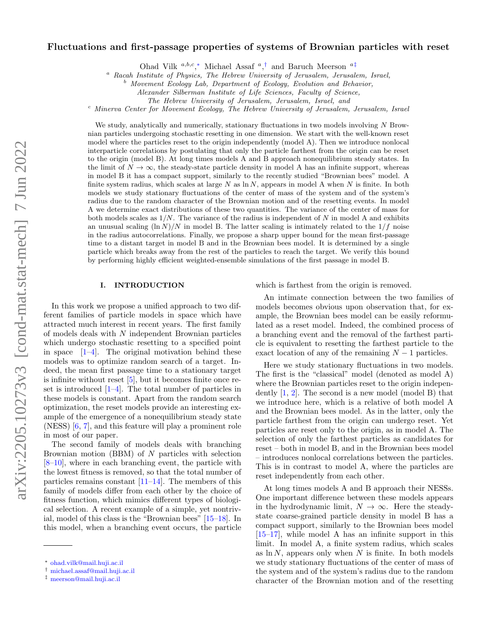# Fluctuations and first-passage properties of systems of Brownian particles with reset

Ohad Vilk <sup>a,b,c</sup>,\* Michael Assaf<sup>a</sup>,<sup>[†](#page-0-1)</sup> and Baruch Meerson<sup>a[‡](#page-0-2)</sup>

<sup>a</sup> Racah Institute of Physics, The Hebrew University of Jerusalem, Jerusalem, Israel,

<sup>b</sup> Movement Ecology Lab, Department of Ecology, Evolution and Behavior,

The Hebrew University of Jerusalem, Jerusalem, Israel, and

 $c<sup>c</sup>$  Minerva Center for Movement Ecology, The Hebrew University of Jerusalem, Jerusalem, Israel

We study, analytically and numerically, stationary fluctuations in two models involving  $N$  Brownian particles undergoing stochastic resetting in one dimension. We start with the well-known reset model where the particles reset to the origin independently (model A). Then we introduce nonlocal interparticle correlations by postulating that only the particle farthest from the origin can be reset to the origin (model B). At long times models A and B approach nonequilibrium steady states. In the limit of  $N \to \infty$ , the steady-state particle density in model A has an infinite support, whereas in model B it has a compact support, similarly to the recently studied "Brownian bees" model. A finite system radius, which scales at large  $N$  as  $\ln N$ , appears in model A when  $N$  is finite. In both models we study stationary fluctuations of the center of mass of the system and of the system's radius due to the random character of the Brownian motion and of the resetting events. In model A we determine exact distributions of these two quantities. The variance of the center of mass for both models scales as  $1/N$ . The variance of the radius is independent of N in model A and exhibits an unusual scaling  $(\ln N)/N$  in model B. The latter scaling is intimately related to the  $1/f$  noise in the radius autocorrelations. Finally, we propose a sharp upper bound for the mean first-passage time to a distant target in model B and in the Brownian bees model. It is determined by a single particle which breaks away from the rest of the particles to reach the target. We verify this bound by performing highly efficient weighted-ensemble simulations of the first passage in model B.

### I. INTRODUCTION

In this work we propose a unified approach to two different families of particle models in space which have attracted much interest in recent years. The first family of models deals with N independent Brownian particles which undergo stochastic resetting to a specified point in space  $[1-4]$  $[1-4]$ . The original motivation behind these models was to optimize random search of a target. Indeed, the mean first passage time to a stationary target is infinite without reset  $[5]$ , but it becomes finite once reset is introduced  $[1-4]$  $[1-4]$ . The total number of particles in these models is constant. Apart from the random search optimization, the reset models provide an interesting example of the emergence of a nonequilibrium steady state (NESS) [\[6,](#page-9-3) [7\]](#page-9-4), and this feature will play a prominent role in most of our paper.

The second family of models deals with branching Brownian motion  $(BBM)$  of N particles with selection [\[8–](#page-9-5)[10\]](#page-9-6), where in each branching event, the particle with the lowest fitness is removed, so that the total number of particles remains constant [\[11–](#page-9-7)[14\]](#page-9-8). The members of this family of models differ from each other by the choice of fitness function, which mimics different types of biological selection. A recent example of a simple, yet nontrivial, model of this class is the "Brownian bees" [\[15](#page-9-9)[–18\]](#page-9-10). In this model, when a branching event occurs, the particle

which is farthest from the origin is removed.

An intimate connection between the two families of models becomes obvious upon observation that, for example, the Brownian bees model can be easily reformulated as a reset model. Indeed, the combined process of a branching event and the removal of the farthest particle is equivalent to resetting the farthest particle to the exact location of any of the remaining  $N-1$  particles.

Here we study stationary fluctuations in two models. The first is the "classical" model (denoted as model A) where the Brownian particles reset to the origin independently [\[1,](#page-9-0) [2\]](#page-9-11). The second is a new model (model B) that we introduce here, which is a relative of both model A and the Brownian bees model. As in the latter, only the particle farthest from the origin can undergo reset. Yet particles are reset only to the origin, as in model A. The selection of only the farthest particles as candidates for reset – both in model B, and in the Brownian bees model – introduces nonlocal correlations between the particles. This is in contrast to model A, where the particles are reset independently from each other.

At long times models A and B approach their NESSs. One important difference between these models appears in the hydrodynamic limit,  $N \to \infty$ . Here the steadystate coarse-grained particle density in model B has a compact support, similarly to the Brownian bees model [\[15–](#page-9-9)[17\]](#page-9-12), while model A has an infinite support in this limit. In model A, a finite system radius, which scales as  $\ln N$ , appears only when N is finite. In both models we study stationary fluctuations of the center of mass of the system and of the system's radius due to the random character of the Brownian motion and of the resetting

Alexander Silberman Institute of Life Sciences, Faculty of Science,

<span id="page-0-0"></span><sup>∗</sup> [ohad.vilk@mail.huji.ac.il](mailto:ohad.vilk@mail.huji.ac.il)

<span id="page-0-1"></span><sup>†</sup> [michael.assaf@mail.huji.ac.il](mailto:michael.assaf@mail.huji.ac.il)

<span id="page-0-2"></span><sup>‡</sup> [meerson@mail.huji.ac.il](mailto:meerson@mail.huji.ac.il)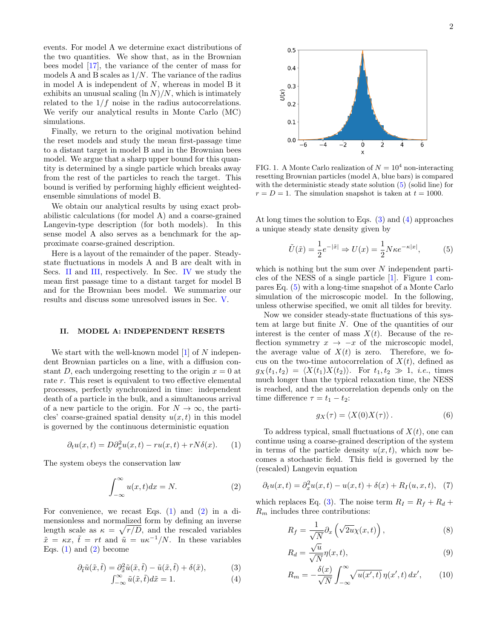events. For model A we determine exact distributions of the two quantities. We show that, as in the Brownian bees model [\[17\]](#page-9-12), the variance of the center of mass for models A and B scales as  $1/N$ . The variance of the radius in model A is independent of  $N$ , whereas in model B it exhibits an unusual scaling  $(\ln N)/N$ , which is intimately related to the  $1/f$  noise in the radius autocorrelations. We verify our analytical results in Monte Carlo (MC) simulations.

Finally, we return to the original motivation behind the reset models and study the mean first-passage time to a distant target in model B and in the Brownian bees model. We argue that a sharp upper bound for this quantity is determined by a single particle which breaks away from the rest of the particles to reach the target. This bound is verified by performing highly efficient weightedensemble simulations of model B.

We obtain our analytical results by using exact probabilistic calculations (for model A) and a coarse-grained Langevin-type description (for both models). In this sense model A also serves as a benchmark for the approximate coarse-grained description.

Here is a layout of the remainder of the paper. Steadystate fluctuations in models A and B are dealt with in Secs. [II](#page-1-0) and [III,](#page-4-0) respectively. In Sec. [IV](#page-6-0) we study the mean first passage time to a distant target for model B and for the Brownian bees model. We summarize our results and discuss some unresolved issues in Sec. [V.](#page-8-0)

#### <span id="page-1-0"></span>II. MODEL A: INDEPENDENT RESETS

We start with the well-known model  $[1]$  of N independent Brownian particles on a line, with a diffusion constant D, each undergoing resetting to the origin  $x = 0$  at rate r. This reset is equivalent to two effective elemental processes, perfectly synchronized in time: independent death of a particle in the bulk, and a simultaneous arrival of a new particle to the origin. For  $N \to \infty$ , the particles' coarse-grained spatial density  $u(x, t)$  in this model is governed by the continuous deterministic equation

<span id="page-1-1"></span>
$$
\partial_t u(x,t) = D \partial_x^2 u(x,t) - r u(x,t) + r N \delta(x). \tag{1}
$$

The system obeys the conservation law

<span id="page-1-2"></span>
$$
\int_{-\infty}^{\infty} u(x,t)dx = N.
$$
 (2)

For convenience, we recast Eqs. [\(1\)](#page-1-1) and [\(2\)](#page-1-2) in a dimensionless and normalized form by defining an inverse length scale as  $\kappa = \sqrt{r/D}$ , and the rescaled variables  $\tilde{x} = \kappa x$ ,  $\tilde{t} = rt$  and  $\tilde{u} = u\kappa^{-1}/N$ . In these variables Eqs.  $(1)$  and  $(2)$  become

<span id="page-1-4"></span>
$$
\partial_{\tilde{t}}\tilde{u}(\tilde{x},\tilde{t}) = \partial_{\tilde{x}}^2\tilde{u}(\tilde{x},\tilde{t}) - \tilde{u}(\tilde{x},\tilde{t}) + \delta(\tilde{x}),\tag{3}
$$

$$
\int_{-\infty}^{\infty} \tilde{u}(\tilde{x}, \tilde{t}) d\tilde{x} = 1.
$$
 (4)



 $\mathsf{x}$ 

 $U(x)$ 

<span id="page-1-5"></span>FIG. 1. A Monte Carlo realization of  $N = 10^4$  non-interacting resetting Brownian particles (model A, blue bars) is compared with the deterministic steady state solution [\(5\)](#page-1-3) (solid line) for  $r = D = 1$ . The simulation snapshot is taken at  $t = 1000$ .

At long times the solution to Eqs. [\(3\)](#page-1-4) and [\(4\)](#page-1-4) approaches a unique steady state density given by

<span id="page-1-3"></span>
$$
\tilde{U}(\tilde{x}) = \frac{1}{2}e^{-|\tilde{x}|} \Rightarrow U(x) = \frac{1}{2}N\kappa e^{-\kappa|x|},\tag{5}
$$

which is nothing but the sum over  $N$  independent particles of the NESS of a single particle [\[1\]](#page-9-0). Figure [1](#page-1-5) compares Eq. [\(5\)](#page-1-3) with a long-time snapshot of a Monte Carlo simulation of the microscopic model. In the following, unless otherwise specified, we omit all tildes for brevity.

Now we consider steady-state fluctuations of this system at large but finite N. One of the quantities of our interest is the center of mass  $X(t)$ . Because of the reflection symmetry  $x \to -x$  of the microscopic model, the average value of  $X(t)$  is zero. Therefore, we focus on the two-time autocorrelation of  $X(t)$ , defined as  $g_X(t_1, t_2) = \langle X(t_1)X(t_2)\rangle$ . For  $t_1, t_2 \gg 1$ , *i.e.*, times much longer than the typical relaxation time, the NESS is reached, and the autocorrelation depends only on the time difference  $\tau = t_1 - t_2$ :

<span id="page-1-8"></span>
$$
g_X(\tau) = \langle X(0)X(\tau) \rangle. \tag{6}
$$

To address typical, small fluctuations of  $X(t)$ , one can continue using a coarse-grained description of the system in terms of the particle density  $u(x, t)$ , which now becomes a stochastic field. This field is governed by the (rescaled) Langevin equation

<span id="page-1-6"></span>
$$
\partial_t u(x,t) = \partial_x^2 u(x,t) - u(x,t) + \delta(x) + R_I(u,x,t), \tag{7}
$$

which replaces Eq. [\(3\)](#page-1-4). The noise term  $R_I = R_f + R_d +$  $R_m$  includes three contributions:

<span id="page-1-7"></span>
$$
R_f = \frac{1}{\sqrt{N}} \partial_x \left( \sqrt{2u} \chi(x, t) \right), \tag{8}
$$

$$
R_d = \frac{\sqrt{u}}{\sqrt{N}} \eta(x, t),\tag{9}
$$

$$
R_m = -\frac{\delta(x)}{\sqrt{N}} \int_{-\infty}^{\infty} \sqrt{u(x',t)} \,\eta(x',t) \,dx',\qquad(10)
$$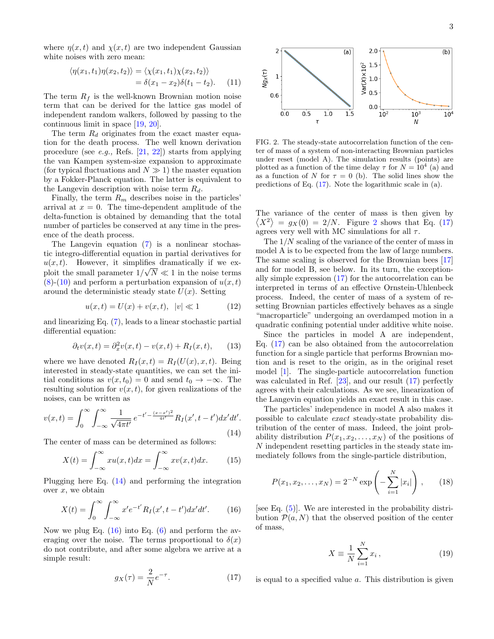where  $\eta(x, t)$  and  $\chi(x, t)$  are two independent Gaussian white noises with zero mean:

$$
\langle \eta(x_1, t_1)\eta(x_2, t_2)\rangle = \langle \chi(x_1, t_1)\chi(x_2, t_2)\rangle
$$
  
=  $\delta(x_1 - x_2)\delta(t_1 - t_2).$  (11)

The term  $R_f$  is the well-known Brownian motion noise term that can be derived for the lattice gas model of independent random walkers, followed by passing to the continuous limit in space [\[19,](#page-9-13) [20\]](#page-9-14).

The term  $R_d$  originates from the exact master equation for the death process. The well known derivation procedure (see *e.g.*, Refs.  $[21, 22]$  $[21, 22]$  $[21, 22]$ ) starts from applying the van Kampen system-size expansion to approximate (for typical fluctuations and  $N \gg 1$ ) the master equation by a Fokker-Planck equation. The latter is equivalent to the Langevin description with noise term  $R_d$ .

Finally, the term  $R_m$  describes noise in the particles' arrival at  $x = 0$ . The time-dependent amplitude of the delta-function is obtained by demanding that the total number of particles be conserved at any time in the presence of the death process.

The Langevin equation [\(7\)](#page-1-6) is a nonlinear stochastic integro-differential equation in partial derivatives for  $u(x, t)$ . However, it simplifies dramatically if we exploit the small parameter  $1/\sqrt{N} \ll 1$  in the noise terms  $(8)-(10)$  $(8)-(10)$  $(8)-(10)$  and perform a perturbation expansion of  $u(x,t)$ around the deterministic steady state  $U(x)$ . Setting

$$
u(x,t) = U(x) + v(x,t), \ |v| \ll 1 \tag{12}
$$

and linearizing Eq. [\(7\)](#page-1-6), leads to a linear stochastic partial differential equation:

$$
\partial_t v(x,t) = \partial_x^2 v(x,t) - v(x,t) + R_I(x,t), \qquad (13)
$$

where we have denoted  $R_I(x,t) = R_I(U(x),x,t)$ . Being interested in steady-state quantities, we can set the initial conditions as  $v(x, t_0) = 0$  and send  $t_0 \rightarrow -\infty$ . The resulting solution for  $v(x, t)$ , for given realizations of the noises, can be written as

<span id="page-2-0"></span>
$$
v(x,t) = \int_0^\infty \int_{-\infty}^\infty \frac{1}{\sqrt{4\pi t'}} e^{-t' - \frac{(x-x')^2}{4t'}} R_I(x', t-t') dx' dt'.
$$
\n(14)

The center of mass can be determined as follows:

<span id="page-2-4"></span>
$$
X(t) = \int_{-\infty}^{\infty} xu(x,t)dx = \int_{-\infty}^{\infty} xv(x,t)dx.
$$
 (15)

Plugging here Eq. [\(14\)](#page-2-0) and performing the integration over  $x$ , we obtain

<span id="page-2-1"></span>
$$
X(t) = \int_0^\infty \int_{-\infty}^\infty x' e^{-t'} R_I(x', t - t') dx' dt'.
$$
 (16)

Now we plug Eq.  $(16)$  into Eq.  $(6)$  and perform the averaging over the noise. The terms proportional to  $\delta(x)$ do not contribute, and after some algebra we arrive at a simple result:

<span id="page-2-2"></span>
$$
g_X(\tau) = \frac{2}{N}e^{-\tau}.\tag{17}
$$



<span id="page-2-3"></span>FIG. 2. The steady-state autocorrelation function of the center of mass of a system of non-interacting Brownian particles under reset (model A). The simulation results (points) are plotted as a function of the time delay  $\tau$  for  $N = 10^4$  (a) and as a function of N for  $\tau = 0$  (b). The solid lines show the predictions of Eq. [\(17\)](#page-2-2). Note the logarithmic scale in (a).

The variance of the center of mass is then given by  $\langle X^2 \rangle = g_X(0) = 2/N$  $\langle X^2 \rangle = g_X(0) = 2/N$  $\langle X^2 \rangle = g_X(0) = 2/N$ . Figure 2 shows that Eq. [\(17\)](#page-2-2) agrees very well with MC simulations for all  $\tau$ .

The 1/N scaling of the variance of the center of mass in model A is to be expected from the law of large numbers. The same scaling is observed for the Brownian bees [\[17\]](#page-9-12) and for model B, see below. In its turn, the exceptionally simple expression [\(17\)](#page-2-2) for the autocorrelation can be interpreted in terms of an effective Ornstein-Uhlenbeck process. Indeed, the center of mass of a system of resetting Brownian particles effectively behaves as a single "macroparticle" undergoing an overdamped motion in a quadratic confining potential under additive white noise.

Since the particles in model A are independent, Eq. [\(17\)](#page-2-2) can be also obtained from the autocorrelation function for a single particle that performs Brownian motion and is reset to the origin, as in the original reset model [\[1\]](#page-9-0). The single-particle autocorrelation function was calculated in Ref. [\[23\]](#page-9-17), and our result [\(17\)](#page-2-2) perfectly agrees with their calculations. As we see, linearization of the Langevin equation yields an exact result in this case.

The particles' independence in model A also makes it possible to calculate exact steady-state probability distribution of the center of mass. Indeed, the joint probability distribution  $P(x_1, x_2, \ldots, x_N)$  of the positions of N independent resetting particles in the steady state immediately follows from the single-particle distribution,

$$
P(x_1, x_2, \dots, x_N) = 2^{-N} \exp\left(-\sum_{i=1}^N |x_i|\right), \qquad (18)
$$

[see Eq.  $(5)$ ]. We are interested in the probability distribution  $\mathcal{P}(a, N)$  that the observed position of the center of mass,

$$
X \equiv \frac{1}{N} \sum_{i=1}^{N} x_i , \qquad (19)
$$

is equal to a specified value a. This distribution is given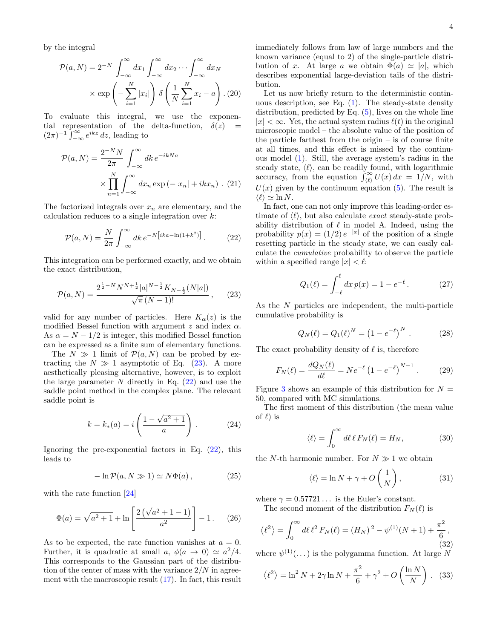by the integral

$$
\mathcal{P}(a, N) = 2^{-N} \int_{-\infty}^{\infty} dx_1 \int_{-\infty}^{\infty} dx_2 \cdots \int_{-\infty}^{\infty} dx_N
$$

$$
\times \exp\left(-\sum_{i=1}^{N} |x_i|\right) \delta\left(\frac{1}{N} \sum_{i=1}^{N} x_i - a\right). (20)
$$

To evaluate this integral, we use the exponential representation of the delta-function,  $\delta(z)$  =  $(2\pi)^{-1} \int_{-\infty}^{\infty} e^{ikz} dz$ , leading to

$$
\mathcal{P}(a, N) = \frac{2^{-N}N}{2\pi} \int_{-\infty}^{\infty} dk \, e^{-ikN a}
$$

$$
\times \prod_{n=1}^{N} \int_{-\infty}^{\infty} dx_n \exp(-|x_n| + ikx_n) \quad (21)
$$

The factorized integrals over  $x_n$  are elementary, and the calculation reduces to a single integration over  $k$ :

<span id="page-3-1"></span>
$$
\mathcal{P}(a,N) = \frac{N}{2\pi} \int_{-\infty}^{\infty} dk \, e^{-N[ika - \ln(1+k^2)]} \,. \tag{22}
$$

This integration can be performed exactly, and we obtain the exact distribution,

<span id="page-3-0"></span>
$$
\mathcal{P}(a,N) = \frac{2^{\frac{1}{2}-N}N^{N+\frac{1}{2}}|a|^{N-\frac{1}{2}}K_{N-\frac{1}{2}}(N|a|)}{\sqrt{\pi}(N-1)!},\qquad(23)
$$

valid for any number of particles. Here  $K_{\alpha}(z)$  is the modified Bessel function with argument  $z$  and index  $\alpha$ . As  $\alpha = N - 1/2$  is integer, this modified Bessel function can be expressed as a finite sum of elementary functions.

The  $N \gg 1$  limit of  $\mathcal{P}(a, N)$  can be probed by extracting the  $N \gg 1$  asymptotic of Eq. [\(23\)](#page-3-0). A more aesthetically pleasing alternative, however, is to exploit the large parameter  $N$  directly in Eq.  $(22)$  and use the saddle point method in the complex plane. The relevant saddle point is

$$
k = k_*(a) = i \left( \frac{1 - \sqrt{a^2 + 1}}{a} \right).
$$
 (24)

Ignoring the pre-exponential factors in Eq.  $(22)$ , this leads to

$$
-\ln \mathcal{P}(a, N \gg 1) \simeq N\Phi(a) , \qquad (25)
$$

with the rate function [\[24\]](#page-9-18)

$$
\Phi(a) = \sqrt{a^2 + 1} + \ln\left[\frac{2\left(\sqrt{a^2 + 1} - 1\right)}{a^2}\right] - 1. \tag{26}
$$

As to be expected, the rate function vanishes at  $a = 0$ . Further, it is quadratic at small  $a, \phi(a \to 0) \simeq a^2/4$ . This corresponds to the Gaussian part of the distribution of the center of mass with the variance  $2/N$  in agreement with the macroscopic result [\(17\)](#page-2-2). In fact, this result immediately follows from law of large numbers and the known variance (equal to 2) of the single-particle distribution of x. At large a we obtain  $\Phi(a) \simeq |a|$ , which describes exponential large-deviation tails of the distribution.

Let us now briefly return to the deterministic continuous description, see Eq.  $(1)$ . The steady-state density distribution, predicted by Eq. [\(5\)](#page-1-3), lives on the whole line  $|x| < \infty$ . Yet, the actual system radius  $\ell(t)$  in the original microscopic model – the absolute value of the position of the particle farthest from the origin – is of course finite at all times, and this effect is missed by the continuous model [\(1\)](#page-1-1). Still, the average system's radius in the steady state,  $\langle \ell \rangle$ , can be readily found, with logarithmic accuracy, from the equation  $\int_{(\ell)}^{\infty} U(x) dx = 1/N$ , with  $U(x)$  given by the continuum equation [\(5\)](#page-1-3). The result is  $\langle \ell \rangle \simeq \ln N$ .

In fact, one can not only improve this leading-order estimate of  $\langle \ell \rangle$ , but also calculate *exact* steady-state probability distribution of  $\ell$  in model A. Indeed, using the probability  $p(x) = (1/2) e^{-|x|}$  of the position of a single resetting particle in the steady state, we can easily calculate the cumulative probability to observe the particle within a specified range  $|x| < \ell$ :

$$
Q_1(\ell) = \int_{-\ell}^{\ell} dx \, p(x) = 1 - e^{-\ell} \,. \tag{27}
$$

As the N particles are independent, the multi-particle cumulative probability is

$$
Q_N(\ell) = Q_1(\ell)^N = (1 - e^{-\ell})^N.
$$
 (28)

The exact probability density of  $\ell$  is, therefore

<span id="page-3-2"></span>
$$
F_N(\ell) = \frac{dQ_N(\ell)}{d\ell} = Ne^{-\ell} (1 - e^{-\ell})^{N-1} .
$$
 (29)

Figure [3](#page-4-1) shows an example of this distribution for  $N =$ 50, compared with MC simulations.

The first moment of this distribution (the mean value of  $\ell$ ) is

$$
\langle \ell \rangle = \int_0^\infty d\ell \, \ell \, F_N(\ell) = H_N,\tag{30}
$$

the N-th harmonic number. For  $N \gg 1$  we obtain

<span id="page-3-3"></span>
$$
\langle \ell \rangle = \ln N + \gamma + O\left(\frac{1}{N}\right),\tag{31}
$$

where  $\gamma = 0.57721...$  is the Euler's constant.

The second moment of the distribution  $F_N(\ell)$  is

$$
\langle \ell^2 \rangle = \int_0^\infty d\ell \, \ell^2 \, F_N(\ell) = (H_N)^2 - \psi^{(1)}(N+1) + \frac{\pi^2}{6},\tag{32}
$$

where  $\psi^{(1)}(\dots)$  is the polygamma function. At large N

$$
\langle \ell^2 \rangle = \ln^2 N + 2\gamma \ln N + \frac{\pi^2}{6} + \gamma^2 + O\left(\frac{\ln N}{N}\right). \tag{33}
$$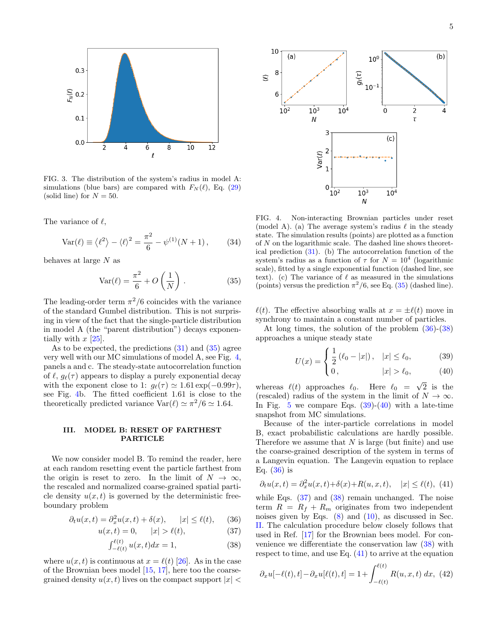

<span id="page-4-1"></span>FIG. 3. The distribution of the system's radius in model A: simulations (blue bars) are compared with  $F_N(\ell)$ , Eq. [\(29\)](#page-3-2) (solid line) for  $N = 50$ .

The variance of  $\ell$ ,

$$
Var(\ell) \equiv \langle \ell^2 \rangle - \langle \ell \rangle^2 = \frac{\pi^2}{6} - \psi^{(1)}(N+1),
$$
 (34)

behaves at large N as

<span id="page-4-2"></span>
$$
Var(\ell) = \frac{\pi^2}{6} + O\left(\frac{1}{N}\right). \tag{35}
$$

The leading-order term  $\pi^2/6$  coincides with the variance of the standard Gumbel distribution. This is not surprising in view of the fact that the single-particle distribution in model A (the "parent distribution") decays exponentially with  $x$  [\[25\]](#page-9-19).

As to be expected, the predictions [\(31\)](#page-3-3) and [\(35\)](#page-4-2) agree very well with our MC simulations of model A, see Fig. [4,](#page-4-3) panels a and c. The steady-state autocorrelation function of  $\ell$ ,  $g_{\ell}(\tau)$  appears to display a purely exponential decay with the exponent close to 1:  $g_{\ell}(\tau) \simeq 1.61 \exp(-0.99\tau)$ , see Fig. [4b](#page-4-3). The fitted coefficient 1.61 is close to the theoretically predicted variance  $\text{Var}(\ell) \simeq \pi^2/6 \simeq 1.64$ .

## <span id="page-4-0"></span>III. MODEL B: RESET OF FARTHEST PARTICLE

We now consider model B. To remind the reader, here at each random resetting event the particle farthest from the origin is reset to zero. In the limit of  $N \to \infty$ , the rescaled and normalized coarse-grained spatial particle density  $u(x, t)$  is governed by the deterministic freeboundary problem

<span id="page-4-4"></span>
$$
\partial_t u(x,t) = \partial_x^2 u(x,t) + \delta(x), \qquad |x| \le \ell(t), \qquad (36)
$$

$$
u(x,t) = 0, \t |x| > \ell(t), \t (37)
$$

$$
\int_{-\ell(t)}^{\ell(t)} u(x,t)dx = 1,\tag{38}
$$

where  $u(x, t)$  is continuous at  $x = \ell(t)$  [\[26\]](#page-9-20). As in the case of the Brownian bees model [\[15,](#page-9-9) [17\]](#page-9-12), here too the coarsegrained density  $u(x, t)$  lives on the compact support  $|x|$ 



<span id="page-4-3"></span>FIG. 4. Non-interacting Brownian particles under reset (model A). (a) The average system's radius  $\ell$  in the steady state. The simulation results (points) are plotted as a function of N on the logarithmic scale. The dashed line shows theoretical prediction [\(31\)](#page-3-3). (b) The autocorrelation function of the system's radius as a function of  $\tau$  for  $N = 10^4$  (logarithmic scale), fitted by a single exponential function (dashed line, see text). (c) The variance of  $\ell$  as measured in the simulations (points) versus the prediction  $\pi^2/6$ , see Eq. [\(35\)](#page-4-2) (dashed line).

 $\ell(t)$ . The effective absorbing walls at  $x = \pm \ell(t)$  move in synchrony to maintain a constant number of particles.

At long times, the solution of the problem [\(36\)](#page-4-4)-[\(38\)](#page-4-4) approaches a unique steady state

$$
U(x) = \begin{cases} \frac{1}{2} (\ell_0 - |x|), & |x| \le \ell_0, \\ 0 & |x| > \ell_0 \end{cases}
$$
 (39)

$$
\begin{array}{ccc}\n\left|0\right\rangle & & |x| > \ell_0,\n\end{array} \tag{40}
$$

<span id="page-4-5"></span>whereas  $\ell(t)$  approaches  $\ell_0$ . Here  $\ell_0 =$ 2 is the (rescaled) radius of the system in the limit of  $N \to \infty$ . In Fig. [5](#page-5-0) we compare Eqs.  $(39)-(40)$  $(39)-(40)$  $(39)-(40)$  with a late-time snapshot from MC simulations.

Because of the inter-particle correlations in model B, exact probabilistic calculations are hardly possible. Therefore we assume that  $N$  is large (but finite) and use the coarse-grained description of the system in terms of a Langevin equation. The Langevin equation to replace Eq.  $(36)$  is

<span id="page-4-6"></span>
$$
\partial_t u(x,t) = \partial_x^2 u(x,t) + \delta(x) + R(u,x,t), \quad |x| \le \ell(t), \tag{41}
$$

while Eqs.  $(37)$  and  $(38)$  remain unchanged. The noise term  $R = R_f + R_m$  originates from two independent noises given by Eqs.  $(8)$  and  $(10)$ , as discussed in Sec. [II.](#page-1-0) The calculation procedure below closely follows that used in Ref. [\[17\]](#page-9-12) for the Brownian bees model. For convenience we differentiate the conservation law [\(38\)](#page-4-4) with respect to time, and use Eq. [\(41\)](#page-4-6) to arrive at the equation

<span id="page-4-7"></span>
$$
\partial_x u[-\ell(t), t] - \partial_x u[\ell(t), t] = 1 + \int_{-\ell(t)}^{\ell(t)} R(u, x, t) \, dx, \tag{42}
$$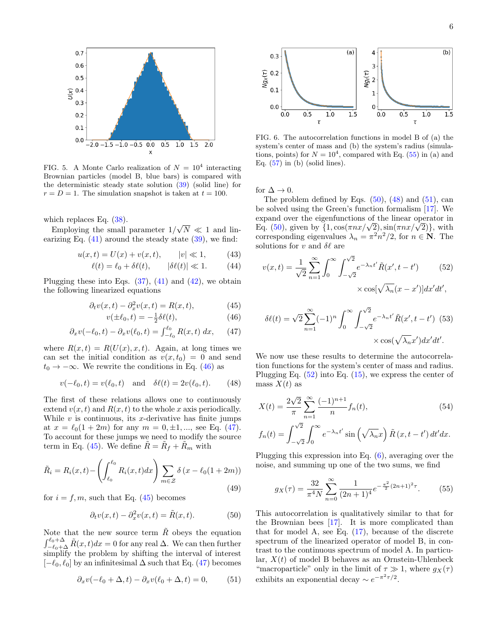

<span id="page-5-0"></span>FIG. 5. A Monte Carlo realization of  $N = 10^4$  interacting Brownian particles (model B, blue bars) is compared with the deterministic steady state solution [\(39\)](#page-4-5) (solid line) for  $r = D = 1$ . The simulation snapshot is taken at  $t = 100$ .

which replaces Eq.  $(38)$ .

Employing the small parameter 1/ √  $N \ll 1$  and linearizing Eq.  $(41)$  around the steady state  $(39)$ , we find:

$$
u(x,t) = U(x) + v(x,t), \t |v| \ll 1,
$$
 (43)

$$
\ell(t) = \ell_0 + \delta\ell(t), \qquad |\delta\ell(t)| \ll 1. \tag{44}
$$

Plugging these into Eqs.  $(37)$ ,  $(41)$  and  $(42)$ , we obtain the following linearized equations

<span id="page-5-1"></span>
$$
\partial_t v(x,t) - \partial_x^2 v(x,t) = R(x,t),\tag{45}
$$

$$
v(\pm \ell_0, t) = -\frac{1}{2}\delta \ell(t),\tag{46}
$$

$$
\partial_x v(-\ell_0, t) - \partial_x v(\ell_0, t) = \int_{-\ell_0}^{\ell_0} R(x, t) \, dx, \qquad (47)
$$

where  $R(x, t) = R(U(x), x, t)$ . Again, at long times we can set the initial condition as  $v(x, t_0) = 0$  and send  $t_0 \rightarrow -\infty$ . We rewrite the conditions in Eq. [\(46\)](#page-5-1) as

<span id="page-5-4"></span>
$$
v(-\ell_0, t) = v(\ell_0, t)
$$
 and  $\delta\ell(t) = 2v(\ell_0, t).$  (48)

The first of these relations allows one to continuously extend  $v(x, t)$  and  $R(x, t)$  to the whole x axis periodically. While  $v$  is continuous, its x-derivative has finite jumps at  $x = \ell_0(1 + 2m)$  for any  $m = 0, \pm 1, \dots$ , see Eq. [\(47\)](#page-5-1). To account for these jumps we need to modify the source term in Eq. [\(45\)](#page-5-1). We define  $\tilde{R} = \tilde{R}_f + \tilde{R}_m$  with

$$
\tilde{R}_i = R_i(x, t) - \left(\int_{\ell_0}^{\ell_0} R_i(x, t) dx\right) \sum_{m \in \mathcal{Z}} \delta\left(x - \ell_0(1 + 2m)\right)
$$
\n(49)

for  $i = f, m$ , such that Eq. [\(45\)](#page-5-1) becomes

<span id="page-5-3"></span>
$$
\partial_t v(x,t) - \partial_x^2 v(x,t) = \tilde{R}(x,t). \tag{50}
$$

Note that the new source term  $\tilde{R}$  obeys the equation  $\int_{-\ell_0+\Delta}^{\ell_0+\Delta} \tilde{R}(x,t)dx = 0$  for any real  $\Delta$ . We can then further simplify the problem by shifting the interval of interest  $[-\ell_0, \ell_0]$  by an infinitesimal  $\Delta$  such that Eq. [\(47\)](#page-5-1) becomes

<span id="page-5-5"></span>
$$
\partial_x v(-\ell_0 + \Delta, t) - \partial_x v(\ell_0 + \Delta, t) = 0, \qquad (51)
$$



<span id="page-5-7"></span>FIG. 6. The autocorrelation functions in model B of (a) the system's center of mass and (b) the system's radius (simulations, points) for  $N = 10^4$ , compared with Eq. [\(55\)](#page-5-2) in (a) and Eq.  $(57)$  in (b) (solid lines).

for  $\Delta \to 0$ .

The problem defined by Eqs.  $(50)$ ,  $(48)$  and  $(51)$ , can be solved using the Green's function formalism [\[17\]](#page-9-12). We expand over the eigenfunctions of the linear operator in expand over the eigenfunctions of the linear operator in Eq.  $(50)$ , given by  $\{1, \cos(\pi nx/\sqrt{2}), \sin(\pi nx/\sqrt{2})\}$ , with corresponding eigenvalues  $\lambda_n = \pi^2 n^2/2$ , for  $n \in \mathbb{N}$ . The solutions for v and  $\delta\ell$  are

<span id="page-5-6"></span>
$$
v(x,t) = \frac{1}{\sqrt{2}} \sum_{n=1}^{\infty} \int_0^{\infty} \int_{-\sqrt{2}}^{\sqrt{2}} e^{-\lambda_n t'} \tilde{R}(x', t - t') \qquad (52)
$$

$$
\times \cos[\sqrt{\lambda_n}(x - x')] dx' dt',
$$

<span id="page-5-8"></span>
$$
\delta\ell(t) = \sqrt{2} \sum_{n=1}^{\infty} (-1)^n \int_0^{\infty} \int_{-\sqrt{2}}^{\sqrt{2}} e^{-\lambda_n t'} \tilde{R}(x', t - t') \tag{53}
$$

$$
\times \cos(\sqrt{\lambda_n} x') dx' dt'.
$$

We now use these results to determine the autocorrelation functions for the system's center of mass and radius. Plugging Eq.  $(52)$  into Eq.  $(15)$ , we express the center of mass  $X(t)$  as

$$
X(t) = \frac{2\sqrt{2}}{\pi} \sum_{n=1}^{\infty} \frac{(-1)^{n+1}}{n} f_n(t),
$$
\n
$$
f_n(t) = \int_{-\sqrt{2}}^{\sqrt{2}} \int_0^{\infty} e^{-\lambda_n t'} \sin\left(\sqrt{\lambda_n}x\right) \tilde{R}(x, t - t') dt' dx.
$$
\n(54)

Plugging this expression into Eq. [\(6\)](#page-1-8), averaging over the noise, and summing up one of the two sums, we find

<span id="page-5-2"></span>
$$
g_X(\tau) = \frac{32}{\pi^4 N} \sum_{n=0}^{\infty} \frac{1}{(2n+1)^4} e^{-\frac{\pi^2}{2}(2n+1)^2 \tau}.
$$
 (55)

This autocorrelation is qualitatively similar to that for the Brownian bees [\[17\]](#page-9-12). It is more complicated than that for model A, see Eq. [\(17\)](#page-2-2), because of the discrete spectrum of the linearized operator of model B, in contrast to the continuous spectrum of model A. In particular,  $X(t)$  of model B behaves as an Ornstein-Uhlenbeck "macroparticle" only in the limit of  $\tau \gg 1$ , where  $q_X(\tau)$ exhibits an exponential decay  $\sim e^{-\pi^2 \tau/2}$ .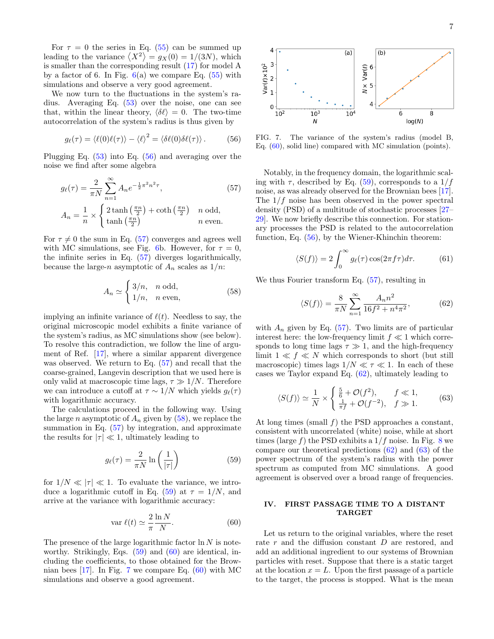For  $\tau = 0$  the series in Eq. [\(55\)](#page-5-2) can be summed up leading to the variance  $\langle X^2 \rangle = g_X(0) = 1/(3N)$ , which is smaller than the corresponding result [\(17\)](#page-2-2) for model A by a factor of 6. In Fig.  $6(a)$  $6(a)$  we compare Eq.  $(55)$  with simulations and observe a very good agreement.

We now turn to the fluctuations in the system's radius. Averaging Eq. [\(53\)](#page-5-8) over the noise, one can see that, within the linear theory,  $\langle \delta \ell \rangle = 0$ . The two-time autocorrelation of the system's radius is thus given by

<span id="page-6-2"></span>
$$
g_{\ell}(\tau) = \langle \ell(0)\ell(\tau) \rangle - \langle \ell \rangle^2 = \langle \delta \ell(0)\delta \ell(\tau) \rangle. \tag{56}
$$

Plugging Eq. [\(53\)](#page-5-8) into Eq. [\(56\)](#page-6-2) and averaging over the noise we find after some algebra

<span id="page-6-1"></span>
$$
g_{\ell}(\tau) = \frac{2}{\pi N} \sum_{n=1}^{\infty} A_n e^{-\frac{1}{2}\pi^2 n^2 \tau},
$$
 (57)  

$$
A_n = \frac{1}{n} \times \begin{cases} 2 \tanh\left(\frac{\pi n}{2}\right) + \coth\left(\frac{\pi n}{2}\right) & n \text{ odd,} \\ \tanh\left(\frac{\pi n}{2}\right) & n \text{ even.} \end{cases}
$$

For  $\tau \neq 0$  the sum in Eq. [\(57\)](#page-6-1) converges and agrees well with MC simulations, see Fig. [6b](#page-5-7). However, for  $\tau = 0$ , the infinite series in Eq. [\(57\)](#page-6-1) diverges logarithmically, because the large-n asymptotic of  $A_n$  scales as  $1/n$ :

<span id="page-6-3"></span>
$$
A_n \simeq \begin{cases} 3/n, & n \text{ odd}, \\ 1/n, & n \text{ even}, \end{cases}
$$
 (58)

implying an infinite variance of  $\ell(t)$ . Needless to say, the original microscopic model exhibits a finite variance of the system's radius, as MC simulations show (see below). To resolve this contradiction, we follow the line of argument of Ref. [\[17\]](#page-9-12), where a similar apparent divergence was observed. We return to Eq. [\(57\)](#page-6-1) and recall that the coarse-grained, Langevin description that we used here is only valid at macroscopic time lags,  $\tau \gg 1/N$ . Therefore we can introduce a cutoff at  $\tau \sim 1/N$  which yields  $g_{\ell}(\tau)$ with logarithmic accuracy.

The calculations proceed in the following way. Using the large n asymptotic of  $A_n$  given by  $(58)$ , we replace the summation in Eq.  $(57)$  by integration, and approximate the results for  $|\tau| \ll 1$ , ultimately leading to

<span id="page-6-4"></span>
$$
g_{\ell}(\tau) = \frac{2}{\pi N} \ln \left( \frac{1}{|\tau|} \right) \tag{59}
$$

for  $1/N \ll |\tau| \ll 1$ . To evaluate the variance, we intro-duce a logarithmic cutoff in Eq. [\(59\)](#page-6-4) at  $\tau = 1/N$ , and arrive at the variance with logarithmic accuracy:

<span id="page-6-5"></span>
$$
\operatorname{var} \ell(t) \simeq \frac{2}{\pi} \frac{\ln N}{N}.\tag{60}
$$

The presence of the large logarithmic factor  $\ln N$  is noteworthy. Strikingly, Eqs.  $(59)$  and  $(60)$  are identical, including the coefficients, to those obtained for the Brownian bees [\[17\]](#page-9-12). In Fig. [7](#page-6-6) we compare Eq. [\(60\)](#page-6-5) with MC simulations and observe a good agreement.



<span id="page-6-6"></span>FIG. 7. The variance of the system's radius (model B, Eq. [\(60\)](#page-6-5), solid line) compared with MC simulation (points).

Notably, in the frequency domain, the logarithmic scaling with  $\tau$ , described by Eq. [\(59\)](#page-6-4), corresponds to a  $1/f$ noise, as was already observed for the Brownian bees [\[17\]](#page-9-12). The  $1/f$  noise has been observed in the power spectral density (PSD) of a multitude of stochastic processes [\[27–](#page-9-21) [29\]](#page-9-22). We now briefly describe this connection. For stationary processes the PSD is related to the autocorrelation function, Eq. [\(56\)](#page-6-2), by the Wiener-Khinchin theorem:

$$
\langle S(f) \rangle = 2 \int_0^\infty g_\ell(\tau) \cos(2\pi f \tau) d\tau.
$$
 (61)

We thus Fourier transform Eq. [\(57\)](#page-6-1), resulting in

<span id="page-6-7"></span>
$$
\langle S(f) \rangle = \frac{8}{\pi N} \sum_{n=1}^{\infty} \frac{A_n n^2}{16f^2 + n^4 \pi^2},
$$
(62)

with  $A_n$  given by Eq. [\(57\)](#page-6-1). Two limits are of particular interest here: the low-frequency limit  $f \ll 1$  which corresponds to long time lags  $\tau \gg 1$ , and the high-frequency limit  $1 \ll f \ll N$  which corresponds to short (but still macroscopic) times lags  $1/N \ll \tau \ll 1$ . In each of these cases we Taylor expand Eq. [\(62\)](#page-6-7), ultimately leading to

<span id="page-6-8"></span>
$$
\langle S(f) \rangle \simeq \frac{1}{N} \times \begin{cases} \frac{5}{6} + \mathcal{O}(f^2), & f \ll 1, \\ \frac{1}{\pi f} + \mathcal{O}(f^{-2}), & f \gg 1. \end{cases}
$$
(63)

At long times (small  $f$ ) the PSD approaches a constant, consistent with uncorrelated (white) noise, while at short times (large f) the PSD exhibits a  $1/f$  noise. In Fig. [8](#page-7-0) we compare our theoretical predictions [\(62\)](#page-6-7) and [\(63\)](#page-6-8) of the power spectrum of the system's radius with the power spectrum as computed from MC simulations. A good agreement is observed over a broad range of frequencies.

## <span id="page-6-0"></span>IV. FIRST PASSAGE TIME TO A DISTANT TARGET

Let us return to the original variables, where the reset rate r and the diffusion constant D are restored, and add an additional ingredient to our systems of Brownian particles with reset. Suppose that there is a static target at the location  $x = L$ . Upon the first passage of a particle to the target, the process is stopped. What is the mean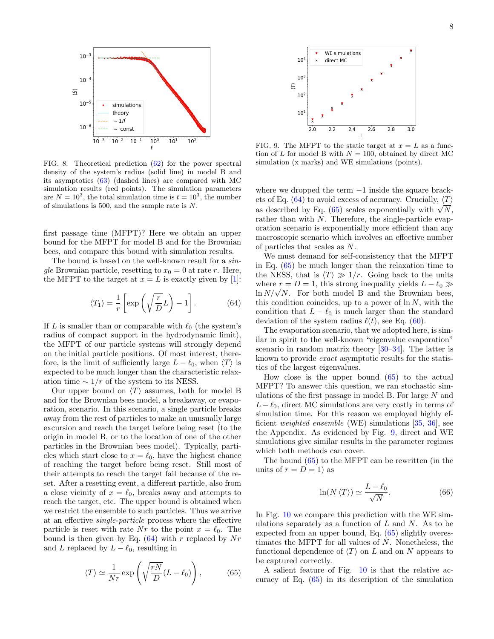

<span id="page-7-0"></span>FIG. 8. Theoretical prediction [\(62\)](#page-6-7) for the power spectral density of the system's radius (solid line) in model B and its asymptotics [\(63\)](#page-6-8) (dashed lines) are compared with MC simulation results (red points). The simulation parameters are  $N = 10^3$ , the total simulation time is  $t = 10^3$ , the number of simulations is 500, and the sample rate is N.

first passage time (MFPT)? Here we obtain an upper bound for the MFPT for model B and for the Brownian bees, and compare this bound with simulation results.

The bound is based on the well-known result for a  $sin$ gle Brownian particle, resetting to  $x_0 = 0$  at rate r. Here, the MFPT to the target at  $x = L$  is exactly given by [\[1\]](#page-9-0):

<span id="page-7-1"></span>
$$
\langle T_1 \rangle = \frac{1}{r} \left[ \exp\left(\sqrt{\frac{r}{D}} L\right) - 1 \right]. \tag{64}
$$

If L is smaller than or comparable with  $\ell_0$  (the system's radius of compact support in the hydrodynamic limit), the MFPT of our particle systems will strongly depend on the initial particle positions. Of most interest, therefore, is the limit of sufficiently large  $L - \ell_0$ , when  $\langle T \rangle$  is expected to be much longer than the characteristic relaxation time  $\sim 1/r$  of the system to its NESS.

Our upper bound on  $\langle T \rangle$  assumes, both for model B and for the Brownian bees model, a breakaway, or evaporation, scenario. In this scenario, a single particle breaks away from the rest of particles to make an unusually large excursion and reach the target before being reset (to the origin in model B, or to the location of one of the other particles in the Brownian bees model). Typically, particles which start close to  $x = \ell_0$ , have the highest chance of reaching the target before being reset. Still most of their attempts to reach the target fail because of the reset. After a resetting event, a different particle, also from a close vicinity of  $x = \ell_0$ , breaks away and attempts to reach the target, etc. The upper bound is obtained when we restrict the ensemble to such particles. Thus we arrive at an effective single-particle process where the effective particle is reset with rate Nr to the point  $x = \ell_0$ . The bound is then given by Eq.  $(64)$  with r replaced by Nr and L replaced by  $L - \ell_0$ , resulting in

<span id="page-7-2"></span>
$$
\langle T \rangle \simeq \frac{1}{Nr} \exp\left(\sqrt{\frac{rN}{D}}(L-\ell_0)\right),\tag{65}
$$



<span id="page-7-3"></span>FIG. 9. The MFPT to the static target at  $x = L$  as a function of L for model B with  $N = 100$ , obtained by direct MC simulation (x marks) and WE simulations (points).

where we dropped the term  $-1$  inside the square brack-ets of Eq. [\(64\)](#page-7-1) to avoid excess of accuracy. Crucially,  $\langle T \rangle$ ets of Eq. (64) to avoid excess of accuracy. Crucially,  $\langle I \rangle$  as described by Eq. [\(65\)](#page-7-2) scales exponentially with  $\sqrt{N}$ , rather than with N. Therefore, the single-particle evaporation scenario is exponentially more efficient than any macroscopic scenario which involves an effective number of particles that scales as N.

We must demand for self-consistency that the MFPT in Eq. [\(65\)](#page-7-2) be much longer than the relaxation time to the NESS, that is  $\langle T \rangle \gg 1/r$ . Going back to the units where  $r = D = 1$ , this strong inequality yields  $L - \ell_0 \gg$ where  $r = D = 1$ , this strong inequality yields  $L - \ell_0 \gg \ln N/\sqrt{N}$ . For both model B and the Brownian bees, this condition coincides, up to a power of  $\ln N$ , with the condition that  $L - \ell_0$  is much larger than the standard deviation of the system radius  $\ell(t)$ , see Eq. [\(60\)](#page-6-5).

The evaporation scenario, that we adopted here, is similar in spirit to the well-known "eigenvalue evaporation" scenario in random matrix theory [\[30](#page-9-23)[–34\]](#page-9-24). The latter is known to provide exact asymptotic results for the statistics of the largest eigenvalues.

How close is the upper bound [\(65\)](#page-7-2) to the actual MFPT? To answer this question, we ran stochastic simulations of the first passage in model B. For large N and  $L - \ell_0$ , direct MC simulations are very costly in terms of simulation time. For this reason we employed highly efficient weighted ensemble (WE) simulations [\[35,](#page-9-25) [36\]](#page-9-26), see the Appendix. As evidenced by Fig. [9,](#page-7-3) direct and WE simulations give similar results in the parameter regimes which both methods can cover.

The bound [\(65\)](#page-7-2) to the MFPT can be rewritten (in the units of  $r = D = 1$ ) as

$$
\ln(N \langle T \rangle) \simeq \frac{L - \ell_0}{\sqrt{N}}.\tag{66}
$$

In Fig. [10](#page-8-1) we compare this prediction with the WE simulations separately as a function of  $L$  and  $N$ . As to be expected from an upper bound, Eq. [\(65\)](#page-7-2) slightly overestimates the MFPT for all values of N. Nonetheless, the functional dependence of  $\langle T \rangle$  on L and on N appears to be captured correctly.

A salient feature of Fig. [10](#page-8-1) is that the relative accuracy of Eq. [\(65\)](#page-7-2) in its description of the simulation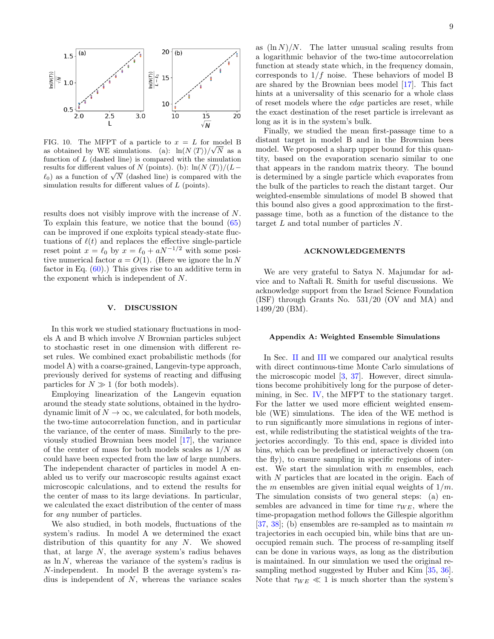

<span id="page-8-1"></span>FIG. 10. The MFPT of a particle to  $x = L$  for model B as obtained by WE simulations. (a):  $\ln(N \langle T \rangle)/\sqrt{N}$  as a function of  $L$  (dashed line) is compared with the simulation results for different values of N (points). (b):  $\ln(N \langle T \rangle)/(L$ results for different values of *N* (points). (b):  $\ln(N \ (1))/(L - \ell_0)$  as a function of  $\sqrt{N}$  (dashed line) is compared with the simulation results for different values of L (points).

results does not visibly improve with the increase of N. To explain this feature, we notice that the bound [\(65\)](#page-7-2) can be improved if one exploits typical steady-state fluctuations of  $\ell(t)$  and replaces the effective single-particle reset point  $x = \ell_0$  by  $x = \ell_0 + aN^{-1/2}$  with some positive numerical factor  $a = O(1)$ . (Here we ignore the ln N factor in Eq.  $(60)$ .) This gives rise to an additive term in the exponent which is independent of N.

#### <span id="page-8-0"></span>V. DISCUSSION

In this work we studied stationary fluctuations in models A and B which involve N Brownian particles subject to stochastic reset in one dimension with different reset rules. We combined exact probabilistic methods (for model A) with a coarse-grained, Langevin-type approach, previously derived for systems of reacting and diffusing particles for  $N \gg 1$  (for both models).

Employing linearization of the Langevin equation around the steady state solutions, obtained in the hydrodynamic limit of  $N \to \infty$ , we calculated, for both models, the two-time autocorrelation function, and in particular the variance, of the center of mass. Similarly to the previously studied Brownian bees model [\[17\]](#page-9-12), the variance of the center of mass for both models scales as  $1/N$  as could have been expected from the law of large numbers. The independent character of particles in model A enabled us to verify our macroscopic results against exact microscopic calculations, and to extend the results for the center of mass to its large deviations. In particular, we calculated the exact distribution of the center of mass for any number of particles.

We also studied, in both models, fluctuations of the system's radius. In model A we determined the exact distribution of this quantity for any N. We showed that, at large  $N$ , the average system's radius behaves as  $\ln N$ , whereas the variance of the system's radius is N-independent. In model B the average system's radius is independent of  $N$ , whereas the variance scales

as  $(\ln N)/N$ . The latter unusual scaling results from a logarithmic behavior of the two-time autocorrelation function at steady state which, in the frequency domain, corresponds to  $1/f$  noise. These behaviors of model B are shared by the Brownian bees model [\[17\]](#page-9-12). This fact hints at a universality of this scenario for a whole class of reset models where the edge particles are reset, while the exact destination of the reset particle is irrelevant as long as it is in the system's bulk.

Finally, we studied the mean first-passage time to a distant target in model B and in the Brownian bees model. We proposed a sharp upper bound for this quantity, based on the evaporation scenario similar to one that appears in the random matrix theory. The bound is determined by a single particle which evaporates from the bulk of the particles to reach the distant target. Our weighted-ensemble simulations of model B showed that this bound also gives a good approximation to the firstpassage time, both as a function of the distance to the target L and total number of particles N.

#### ACKNOWLEDGEMENTS

We are very grateful to Satya N. Majumdar for advice and to Naftali R. Smith for useful discussions. We acknowledge support from the Israel Science Foundation (ISF) through Grants No. 531/20 (OV and MA) and 1499/20 (BM).

## Appendix A: Weighted Ensemble Simulations

In Sec. [II](#page-1-0) and [III](#page-4-0) we compared our analytical results with direct continuous-time Monte Carlo simulations of the microscopic model [\[3,](#page-9-27) [37\]](#page-9-28). However, direct simulations become prohibitively long for the purpose of determining, in Sec. [IV,](#page-6-0) the MFPT to the stationary target. For the latter we used more efficient weighted ensemble (WE) simulations. The idea of the WE method is to run significantly more simulations in regions of interest, while redistributing the statistical weights of the trajectories accordingly. To this end, space is divided into bins, which can be predefined or interactively chosen (on the fly), to ensure sampling in specific regions of interest. We start the simulation with  $m$  ensembles, each with  $N$  particles that are located in the origin. Each of the m ensembles are given initial equal weights of  $1/m$ . The simulation consists of two general steps: (a) ensembles are advanced in time for time  $\tau_{WE}$ , where the time-propagation method follows the Gillespie algorithm [\[37,](#page-9-28) [38\]](#page-9-29); (b) ensembles are re-sampled as to maintain  $m$ trajectories in each occupied bin, while bins that are unoccupied remain such. The process of re-sampling itself can be done in various ways, as long as the distribution is maintained. In our simulation we used the original resampling method suggested by Huber and Kim [\[35,](#page-9-25) [36\]](#page-9-26). Note that  $\tau_{WE} \ll 1$  is much shorter than the system's